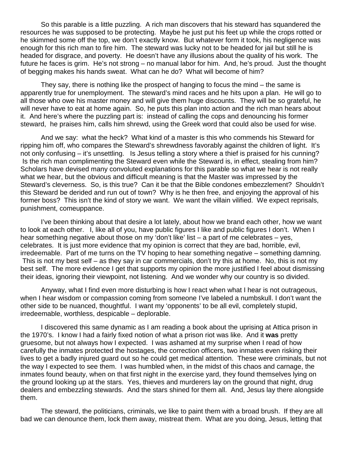So this parable is a little puzzling. A rich man discovers that his steward has squandered the resources he was supposed to be protecting. Maybe he just put his feet up while the crops rotted or he skimmed some off the top, we don't exactly know. But whatever form it took, his negligence was enough for this rich man to fire him. The steward was lucky not to be headed for jail but still he is headed for disgrace, and poverty. He doesn't have any illusions about the quality of his work. The future he faces is grim. He's not strong – no manual labor for him. And, he's proud. Just the thought of begging makes his hands sweat. What can he do? What will become of him?

They say, there is nothing like the prospect of hanging to focus the mind – the same is apparently true for unemployment. The steward's mind races and he hits upon a plan. He will go to all those who owe his master money and will give them huge discounts. They will be so grateful, he will never have to eat at home again. So, he puts this plan into action and the rich man hears about it. And here's where the puzzling part is: instead of calling the cops and denouncing his former steward, he praises him, calls him shrewd, using the Greek word that could also be used for wise.

And we say: what the heck? What kind of a master is this who commends his Steward for ripping him off, who compares the Steward's shrewdness favorably against the children of light. It's not only confusing – it's unsettling. Is Jesus telling a story where a thief is praised for his cunning? Is the rich man complimenting the Steward even while the Steward is, in effect, stealing from him? Scholars have devised many convoluted explanations for this parable so what we hear is not really what we hear, but the obvious and difficult meaning is that the Master was impressed by the Steward's cleverness. So, is this true? Can it be that the Bible condones embezzlement? Shouldn't this Steward be derided and run out of town? Why is he then free, and enjoying the approval of his former boss? This isn't the kind of story we want. We want the villain vilified. We expect reprisals, punishment, comeuppance.

I've been thinking about that desire a lot lately, about how we brand each other, how we want to look at each other. I, like all of you, have public figures I like and public figures I don't. When I hear something negative about those on my 'don't like' list – a part of me celebrates – yes, celebrates. It is just more evidence that my opinion is correct that they are bad, horrible, evil, irredeemable. Part of me turns on the TV hoping to hear something negative – something damning. This is not my best self – as they say in car commercials, don't try this at home. No, this is not my best self. The more evidence I get that supports my opinion the more justified I feel about dismissing their ideas, ignoring their viewpoint, not listening. And we wonder why our country is so divided.

Anyway, what I find even more disturbing is how I react when what I hear is not outrageous, when I hear wisdom or compassion coming from someone I've labeled a numbskull. I don't want the other side to be nuanced, thoughtful. I want my 'opponents' to be all evil, completely stupid, irredeemable, worthless, despicable – deplorable.

I discovered this same dynamic as I am reading a book about the uprising at Attica prison in the 1970's. I know I had a fairly fixed notion of what a prison riot was like. And it **was** pretty gruesome, but not always how I expected. I was ashamed at my surprise when I read of how carefully the inmates protected the hostages, the correction officers, two inmates even risking their lives to get a badly injured guard out so he could get medical attention. These were criminals, but not the way I expected to see them. I was humbled when, in the midst of this chaos and carnage, the inmates found beauty, when on that first night in the exercise yard, they found themselves lying on the ground looking up at the stars. Yes, thieves and murderers lay on the ground that night, drug dealers and embezzling stewards. And the stars shined for them all. And, Jesus lay there alongside them.

The steward, the politicians, criminals, we like to paint them with a broad brush. If they are all bad we can denounce them, lock them away, mistreat them. What are you doing, Jesus, letting that